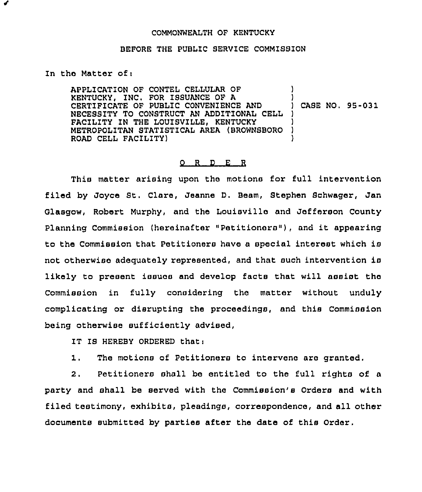## COMMONWEALTH OF KENTUCKY

## BEFORE THE PUBLIC SERVICE COMMISSION

## In the Matter of:

APPLICATION OF CONTEL CELLULAR OF KENTUCKY, INC. FOR ISSUANCE OF A CERTIFICATE OF PUBLIC CONVENIENCE AND NECESSITY TO CONSTRUCT AN ADDITIONAL CELL ) FACILITY IN THE LOUISVILLE, KENTUCKY METROPOLITAN STATISTICAL AREA (BROWNSBORO ROAD CELL FACILITY) ) ) ) CASE NO. 95-031 ) ) )

## $Q$  R  $D$  E R

This matter arising upon the motions for full intervention filed by Joyce St. Clare, Jeanne D. Beam, Stephen Schwager, Jan Glasgow, Robert Murphy, and the Louisville and Jefferson County Planning Commission (hereinafter "Petitioners" ), and it appearing to the Commission that Petitioners have <sup>a</sup> special interest which is not otherwise adequately represented, and that such intervention is likely to present issues and develop facts that will assist the Commission in fully considering the matter without unduly complicating or disrupting the proceedings, and this Commission being otherwise sufficiently advised,

IT IS HEREBY ORDERED that:

1. The motions of Petitioners to intervene are granted.

2. Petitioners shall be entitled to the full rights of a party and shall be served with the Commission's Orders and with filed testimony, exhibits, pleadings, correspondence, and all other documents submitted by parties after the date of this Order.